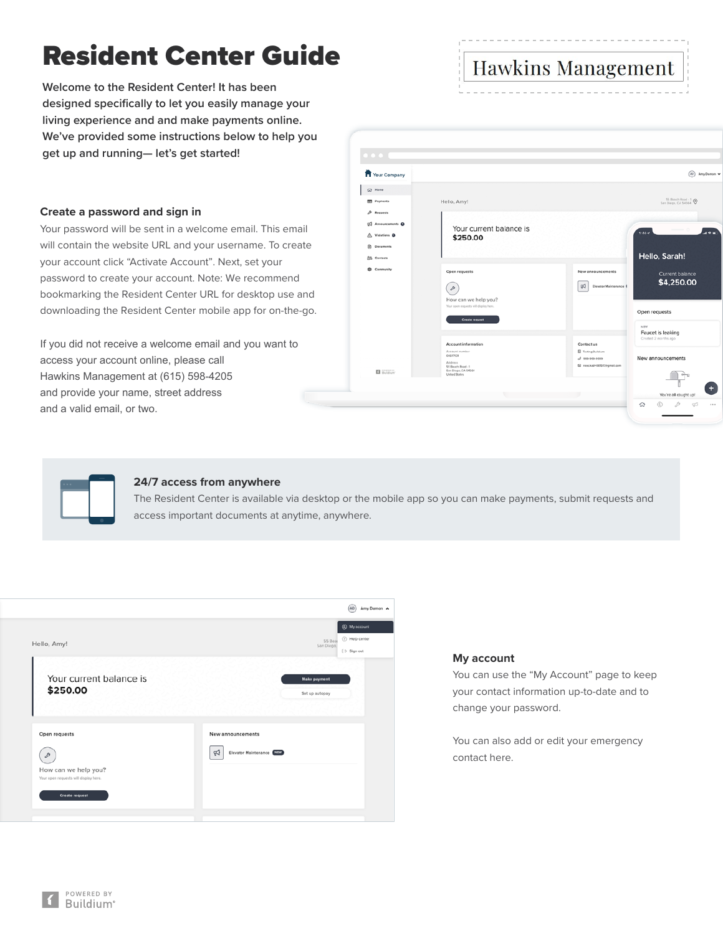# Resident Center Guide

**Welcome to the Resident Center! It has been designed specifically to let you easily manage your living experience and and make payments online. We've provided some instructions below to help you get up and running— let's get started!**

# **Create a password and sign in**

Your password will be sent in a welcome email. This email will contain the website URL and your username. To create your account click "Activate Account". Next, set your password to create your account. Note: We recommend bookmarking the Resident Center URL for desktop use and downloading the Resident Center mobile app for on-the-go.

If you did not receive a welcome email and you want to access your account online, please call Hawkins Management at (615) 598-4205 and provide your name, street address and a valid email, or two.

| <b>T</b> Your Company         |                                                               |                                                | (AD) Amy Damon w         |
|-------------------------------|---------------------------------------------------------------|------------------------------------------------|--------------------------|
| G Home                        |                                                               |                                                |                          |
| <b>ED</b> Payments            | Hello, Amy!                                                   |                                                | 55 Brach Road - 1        |
| A Requests                    |                                                               |                                                |                          |
| G2 Announcements O            | Your current balance is                                       |                                                |                          |
| A Violations <sup>O</sup>     | \$250.00                                                      |                                                | 1.40 <                   |
| <b>Ch</b> Documents           |                                                               |                                                |                          |
| <b>25</b> Contacts            |                                                               |                                                | Hello, Sarah!            |
| <b>Community</b>              | Open requests                                                 | Now announcements                              | Current balance          |
|                               |                                                               | 田<br>Elevator Maintenance                      | \$4,250.00               |
|                               | $\mathcal{P}$                                                 |                                                |                          |
|                               | How can we help you?<br>Your open requests will display here. |                                                |                          |
|                               | Create request                                                |                                                | Open requests            |
|                               |                                                               |                                                | NEW<br>Faucet is leaking |
|                               | Account information                                           | Contact us                                     | Created 2 months ago     |
|                               | Acceunt number<br>00617931                                    | <b>El</b> Testing Buildium                     |                          |
|                               | Address<br>55 Beach Road - 1                                  | 3 995-995-9999<br>E2 rose.kad=081513@gmail.com | New announcements        |
| <b>B</b> Buildum <sup>-</sup> | San Diego, CA 54564<br>United States                          |                                                |                          |
|                               |                                                               |                                                |                          |
|                               |                                                               |                                                | You're all caught up!    |

**Hawkins Management** 



# **24/7 access from anywhere**

The Resident Center is available via desktop or the mobile app so you can make payments, submit requests and access important documents at anytime, anywhere.

|                                                                                                                          | AD <sup>1</sup><br>Amy Damon                                                               |
|--------------------------------------------------------------------------------------------------------------------------|--------------------------------------------------------------------------------------------|
| Hello, Amy!                                                                                                              | <b>@</b> My account<br>(?) Help center<br>55 Bear<br>San Diego,<br>$[\rightarrow$ Sign out |
| Your current balance is<br>\$250.00                                                                                      | <b>Make payment</b><br>Set up autopay                                                      |
| Open requests<br>$\mathcal{P}$<br>How can we help you?<br>Your open requests will display here.<br><b>Create request</b> | New announcements<br>₩<br>Elevator Maintenance (NEW)                                       |

# **My account**

You can use the "My Account" page to keep your contact information up-to-date and to change your password.

You can also add or edit your emergency contact here.

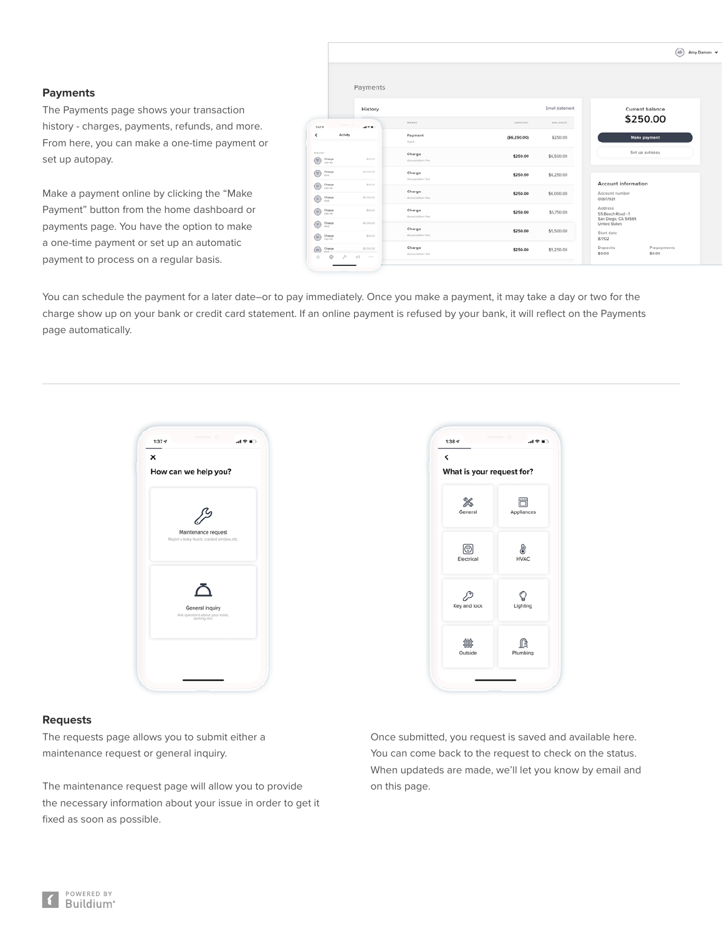# **Payments**

The Payments page shows your transaction history - charges, payments, refunds, and more. From here, you can make a one-time payment or set up autopay.

Make a payment online by clicking the "Make Payment" button from the home dashboard or payments page. You have the option to make a one-time payment or set up an automatic payment to process on a regular basis.

|                                                                               | Payments              |                           |               |                 |                                                     |
|-------------------------------------------------------------------------------|-----------------------|---------------------------|---------------|-----------------|-----------------------------------------------------|
|                                                                               | History               |                           |               | Email statement | Current balance                                     |
| 5474                                                                          | 4980                  | MEMO                      | AMOUNT        | BALANCE         | \$250.00                                            |
| Activity                                                                      |                       | Payment<br>Cash           | ( \$6,250.00) | \$250.00        | <b>Make payment</b>                                 |
| NISTORY<br>Charge<br>w<br>Late fee                                            | \$50.00               | Charge<br>Association fee | \$250.00      | \$6,500.00      | Set up autopay                                      |
| Charge<br>a<br><b>Rent</b>                                                    | \$1,000.00            | Charge<br>Association fee | \$250.00      | \$6,250.00      |                                                     |
| G<br>Charge<br>Late fee<br>Charge<br>$\overline{\mathcal{D}}$<br><b>State</b> | \$50.00<br>\$1,000.00 | Charge<br>Association fee | \$250.00      | \$6,000.00      | Account information<br>Account number<br>00617931   |
| A<br>Charge<br>Late Net                                                       | \$50.00               | Charge<br>Association fee | \$250.00      | \$5,750.00      | Address<br>55 Beach Road - 1<br>San Diego, CA 54564 |
| A<br>Charge<br><b>Rond</b>                                                    | \$1,000.00            | Charge                    | \$250.00      | \$5,500.00      | <b>United States</b>                                |
| Charge<br>Θ                                                                   | \$50.00               | Association fee           |               |                 | Start date<br>8/1/02                                |

You can schedule the payment for a later date–or to pay immediately. Once you make a payment, it may take a day or two for the charge show up on your bank or credit card statement. If an online payment is refused by your bank, it will reflect on the Payments page automatically.



# $1:38 - 7$ 司令官  $\hat{}$ What is your request for? ö ℁ Appliance:  $\circledcirc$ ŀ Electrical **HVAC** P ₽ Key and lock Lighting 籌 ß Outside Plumbing

#### **Requests**

The requests page allows you to submit either a maintenance request or general inquiry.

The maintenance request page will allow you to provide the necessary information about your issue in order to get it fixed as soon as possible.

Once submitted, you request is saved and available here. You can come back to the request to check on the status. When updateds are made, we'll let you know by email and on this page.